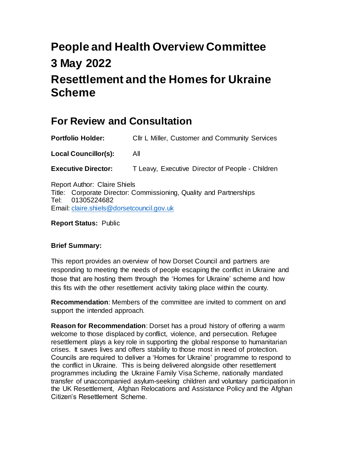# **People and Health Overview Committee 3 May 2022 Resettlement and the Homes for Ukraine Scheme**

# **For Review and Consultation**

<span id="page-0-0"></span>

| <b>Portfolio Holder:</b>                                                                                                   | CIIr L Miller, Customer and Community Services   |
|----------------------------------------------------------------------------------------------------------------------------|--------------------------------------------------|
| <b>Local Councillor(s):</b>                                                                                                | All                                              |
| <b>Executive Director:</b>                                                                                                 | T Leavy, Executive Director of People - Children |
| <b>Report Author: Claire Shiels</b><br>$\overline{T}$ ile : Oemersete Disertem Oemerical entre Orielli, en J.Denis en Lise |                                                  |

Title: Corporate Director: Commissioning, Quality and Partnerships Tel: 01305224682 Email: [claire.shiels@dorsetcouncil.gov.uk](mailto:claire.shiels@dorsetcouncil.gov.uk)

**Report Status:** Public

#### <span id="page-0-1"></span>**[Brief](#page-0-1) Summary:**

This report provides an overview of how Dorset Council and partners are responding to meeting the needs of people escaping the conflict in Ukraine and those that are hosting them through the 'Homes for Ukraine' scheme and how this fits with the other resettlement activity taking place within the county.

**[Recommendation](#page-0-1)**: Members of the committee are invited to comment on and support the intended approach.

<span id="page-0-2"></span>**[Reason](#page-0-2) for Recommendation**: Dorset has a proud history of offering a warm welcome to those displaced by conflict, violence, and persecution. Refugee resettlement plays a key role in supporting the global response to humanitarian crises. It saves lives and offers stability to those most in need of protection. Councils are required to deliver a 'Homes for Ukraine' programme to respond to the conflict in Ukraine. This is being delivered alongside other resettlement programmes including the Ukraine Family Visa Scheme, nationally mandated transfer of unaccompanied asylum-seeking children and voluntary participation in the UK Resettlement, Afghan Relocations and Assistance Policy and the Afghan Citizen's Resettlement Scheme.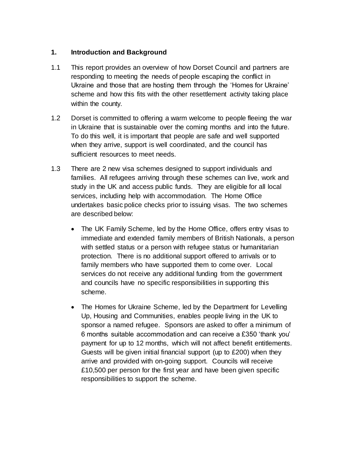#### **1. Introduction and Background**

- 1.1 This report provides an overview of how Dorset Council and partners are responding to meeting the needs of people escaping the conflict in Ukraine and those that are hosting them through the 'Homes for Ukraine' scheme and how this fits with the other resettlement activity taking place within the county.
- 1.2 Dorset is committed to offering a warm welcome to people fleeing the war in Ukraine that is sustainable over the coming months and into the future. To do this well, it is important that people are safe and well supported when they arrive, support is well coordinated, and the council has sufficient resources to meet needs.
- 1.3 There are 2 new visa schemes designed to support individuals and families. All refugees arriving through these schemes can live, work and study in the UK and access public funds. They are eligible for all local services, including help with accommodation. The Home Office undertakes basic police checks prior to issuing visas. The two schemes are described below:
	- The UK Family Scheme, led by the Home Office, offers entry visas to immediate and extended family members of British Nationals, a person with settled status or a person with refugee status or humanitarian protection. There is no additional support offered to arrivals or to family members who have supported them to come over. Local services do not receive any additional funding from the government and councils have no specific responsibilities in supporting this scheme.
	- The Homes for Ukraine Scheme, led by the Department for Levelling Up, Housing and Communities, enables people living in the UK to sponsor a named refugee. Sponsors are asked to offer a minimum of 6 months suitable accommodation and can receive a £350 'thank you' payment for up to 12 months, which will not affect benefit entitlements. Guests will be given initial financial support (up to £200) when they arrive and provided with on-going support. Councils will receive £10,500 per person for the first year and have been given specific responsibilities to support the scheme.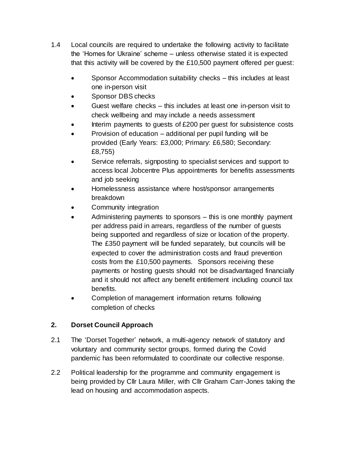- 1.4 Local councils are required to undertake the following activity to facilitate the 'Homes for Ukraine' scheme – unless otherwise stated it is expected that this activity will be covered by the £10,500 payment offered per guest:
	- Sponsor Accommodation suitability checks this includes at least one in-person visit
	- Sponsor DBS checks
	- Guest welfare checks this includes at least one in-person visit to check wellbeing and may include a needs assessment
	- Interim payments to guests of £200 per guest for subsistence costs
	- Provision of education additional per pupil funding will be provided (Early Years: £3,000; Primary: £6,580; Secondary: £8,755)
	- Service referrals, signposting to specialist services and support to access local Jobcentre Plus appointments for benefits assessments and job seeking
	- Homelessness assistance where host/sponsor arrangements breakdown
	- Community integration
	- Administering payments to sponsors this is one monthly payment per address paid in arrears, regardless of the number of guests being supported and regardless of size or location of the property. The £350 payment will be funded separately, but councils will be expected to cover the administration costs and fraud prevention costs from the £10,500 payments. Sponsors receiving these payments or hosting guests should not be disadvantaged financially and it should not affect any benefit entitlement including council tax benefits.
	- Completion of management information returns following completion of checks

# **2. Dorset Council Approach**

- 2.1 The 'Dorset Together' network, a multi-agency network of statutory and voluntary and community sector groups, formed during the Covid pandemic has been reformulated to coordinate our collective response.
- 2.2 Political leadership for the programme and community engagement is being provided by Cllr Laura Miller, with Cllr Graham Carr-Jones taking the lead on housing and accommodation aspects.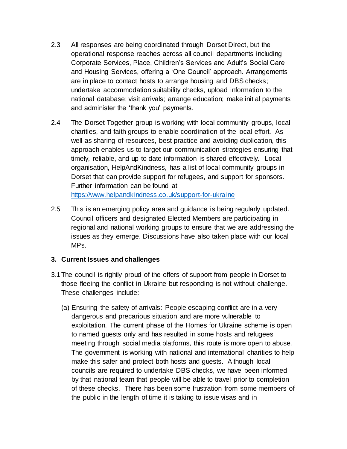- 2.3 All responses are being coordinated through Dorset Direct, but the operational response reaches across all council departments including Corporate Services, Place, Children's Services and Adult's Social Care and Housing Services, offering a 'One Council' approach. Arrangements are in place to contact hosts to arrange housing and DBS checks; undertake accommodation suitability checks, upload information to the national database; visit arrivals; arrange education; make initial payments and administer the 'thank you' payments.
- 2.4 The Dorset Together group is working with local community groups, local charities, and faith groups to enable coordination of the local effort. As well as sharing of resources, best practice and avoiding duplication, this approach enables us to target our communication strategies ensuring that timely, reliable, and up to date information is shared effectively. Local organisation, HelpAndKindness, has a list of local community groups in Dorset that can provide support for refugees, and support for sponsors. Further information can be found at <https://www.helpandkindness.co.uk/support-for-ukraine>
- 2.5 This is an emerging policy area and guidance is being regularly updated. Council officers and designated Elected Members are participating in regional and national working groups to ensure that we are addressing the issues as they emerge. Discussions have also taken place with our local MPs.

#### **3. Current Issues and challenges**

- 3.1The council is rightly proud of the offers of support from people in Dorset to those fleeing the conflict in Ukraine but responding is not without challenge. These challenges include:
	- (a) Ensuring the safety of arrivals: People escaping conflict are in a very dangerous and precarious situation and are more vulnerable to exploitation. The current phase of the Homes for Ukraine scheme is open to named guests only and has resulted in some hosts and refugees meeting through social media platforms, this route is more open to abuse. The government is working with national and international charities to help make this safer and protect both hosts and guests. Although local councils are required to undertake DBS checks, we have been informed by that national team that people will be able to travel prior to completion of these checks. There has been some frustration from some members of the public in the length of time it is taking to issue visas and in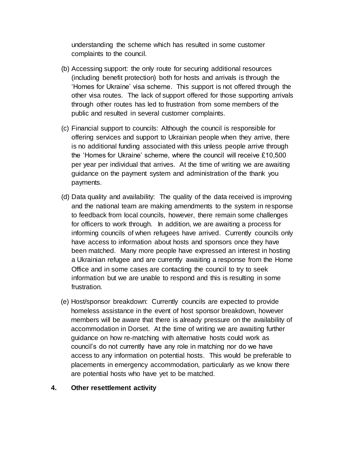understanding the scheme which has resulted in some customer complaints to the council.

- (b) Accessing support: the only route for securing additional resources (including benefit protection) both for hosts and arrivals is through the 'Homes for Ukraine' visa scheme. This support is not offered through the other visa routes. The lack of support offered for those supporting arrivals through other routes has led to frustration from some members of the public and resulted in several customer complaints.
- (c) Financial support to councils: Although the council is responsible for offering services and support to Ukrainian people when they arrive, there is no additional funding associated with this unless people arrive through the 'Homes for Ukraine' scheme, where the council will receive £10,500 per year per individual that arrives. At the time of writing we are awaiting guidance on the payment system and administration of the thank you payments.
- (d) Data quality and availability: The quality of the data received is improving and the national team are making amendments to the system in response to feedback from local councils, however, there remain some challenges for officers to work through. In addition, we are awaiting a process for informing councils of when refugees have arrived. Currently councils only have access to information about hosts and sponsors once they have been matched. Many more people have expressed an interest in hosting a Ukrainian refugee and are currently awaiting a response from the Home Office and in some cases are contacting the council to try to seek information but we are unable to respond and this is resulting in some frustration.
- (e) Host/sponsor breakdown: Currently councils are expected to provide homeless assistance in the event of host sponsor breakdown, however members will be aware that there is already pressure on the availability of accommodation in Dorset. At the time of writing we are awaiting further guidance on how re-matching with alternative hosts could work as council's do not currently have any role in matching nor do we have access to any information on potential hosts. This would be preferable to placements in emergency accommodation, particularly as we know there are potential hosts who have yet to be matched.

#### <span id="page-4-0"></span>**4. Other resettlement activity**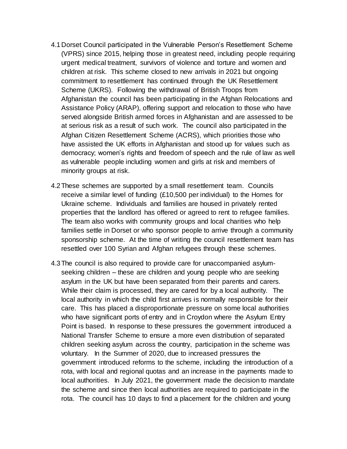- 4.1Dorset Council participated in the Vulnerable Person's Resettlement Scheme (VPRS) since 2015, helping those in greatest need, including people requiring urgent medical treatment, survivors of violence and torture and women and children at risk. This scheme closed to new arrivals in 2021 but ongoing commitment to resettlement has continued through the UK Resettlement Scheme (UKRS). Following the withdrawal of British Troops from Afghanistan the council has been participating in the Afghan Relocations and Assistance Policy (ARAP), offering support and relocation to those who have served alongside British armed forces in Afghanistan and are assessed to be at serious risk as a result of such work. The council also participated in the Afghan Citizen Resettlement Scheme (ACRS), which priorities those who have assisted the UK efforts in Afghanistan and stood up for values such as democracy; women's rights and freedom of speech and the rule of law as well as vulnerable people including women and girls at risk and members of minority groups at risk.
- 4.2These schemes are supported by a small resettlement team. Councils receive a similar level of funding (£10,500 per individual) to the Homes for Ukraine scheme. Individuals and families are housed in privately rented properties that the landlord has offered or agreed to rent to refugee families. The team also works with community groups and local charities who help families settle in Dorset or who sponsor people to arrive through a community sponsorship scheme. At the time of writing the council resettlement team has resettled over 100 Syrian and Afghan refugees through these schemes.
- 4.3The council is also required to provide care for unaccompanied asylumseeking children – these are children and young people who are seeking asylum in the UK but have been separated from their parents and carers. While their claim is processed, they are cared for by a local authority. The local authority in which the child first arrives is normally responsible for their care. This has placed a disproportionate pressure on some local authorities who have significant ports of entry and in Croydon where the Asylum Entry Point is based. In response to these pressures the government introduced a National Transfer Scheme to ensure a more even distribution of separated children seeking asylum across the country, participation in the scheme was voluntary. In the Summer of 2020, due to increased pressures the government introduced reforms to the scheme, including the introduction of a rota, with local and regional quotas and an increase in the payments made to local authorities. In July 2021, the government made the decision to mandate the scheme and since then local authorities are required to participate in the rota. The council has 10 days to find a placement for the children and young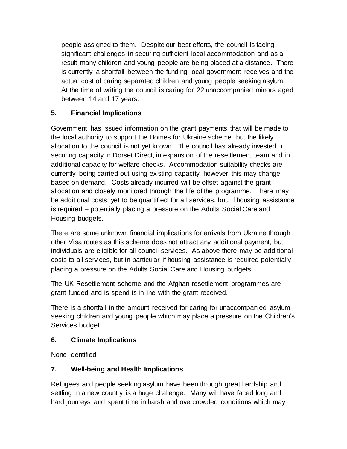people assigned to them. Despite our best efforts, the council is facing significant challenges in securing sufficient local accommodation and as a result many children and young people are being placed at a distance. There is currently a shortfall between the funding local government receives and the actual cost of caring separated children and young people seeking asylum. At the time of writing the council is caring for 22 unaccompanied minors aged between 14 and 17 years.

# <span id="page-6-1"></span>**5. [Financial](#page-4-0) Implications**

Government has issued information on the grant payments that will be made to the local authority to support the Homes for Ukraine scheme, but the likely allocation to the council is not yet known. The council has already invested in securing capacity in Dorset Direct, in expansion of the resettlement team and in additional capacity for welfare checks. Accommodation suitability checks are currently being carried out using existing capacity, however this may change based on demand. Costs already incurred will be offset against the grant allocation and closely monitored through the life of the programme. There may be additional costs, yet to be quantified for all services, but, if housing assistance is required – potentially placing a pressure on the Adults Social Care and Housing budgets.

There are some unknown financial implications for arrivals from Ukraine through other Visa routes as this scheme does not attract any additional payment, but individuals are eligible for all council services. As above there may be additional costs to all services, but in particular if housing assistance is required potentially placing a pressure on the Adults Social Care and Housing budgets.

The UK Resettlement scheme and the Afghan resettlement programmes are grant funded and is spend is in line with the grant received.

There is a shortfall in the amount received for caring for unaccompanied asylumseeking children and young people which may place a pressure on the Children's Services budget.

#### **6. [Climate](#page-6-0) Implications**

None identified

# <span id="page-6-0"></span>**7. [Well-being](#page-6-1) and Health Implications**

<span id="page-6-2"></span>Refugees and people seeking asylum have been through great hardship and settling in a new country is a huge challenge. Many will have faced long and hard journeys and spent time in harsh and overcrowded conditions which may